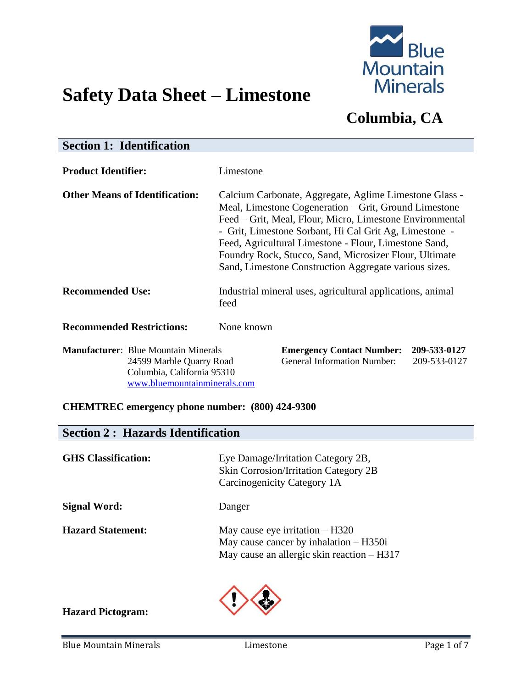

# **Safety Data Sheet – Limestone**

# **Columbia, CA**

| <b>Section 1: Identification</b>                                        |                                                                                                                                                                                                                                                                                                                                                                                                                   |  |  |
|-------------------------------------------------------------------------|-------------------------------------------------------------------------------------------------------------------------------------------------------------------------------------------------------------------------------------------------------------------------------------------------------------------------------------------------------------------------------------------------------------------|--|--|
| <b>Product Identifier:</b>                                              | Limestone                                                                                                                                                                                                                                                                                                                                                                                                         |  |  |
| <b>Other Means of Identification:</b>                                   | Calcium Carbonate, Aggregate, Aglime Limestone Glass -<br>Meal, Limestone Cogeneration – Grit, Ground Limestone<br>Feed – Grit, Meal, Flour, Micro, Limestone Environmental<br>- Grit, Limestone Sorbant, Hi Cal Grit Ag, Limestone -<br>Feed, Agricultural Limestone - Flour, Limestone Sand,<br>Foundry Rock, Stucco, Sand, Microsizer Flour, Ultimate<br>Sand, Limestone Construction Aggregate various sizes. |  |  |
| <b>Recommended Use:</b>                                                 | Industrial mineral uses, agricultural applications, animal<br>feed                                                                                                                                                                                                                                                                                                                                                |  |  |
| <b>Recommended Restrictions:</b>                                        | None known                                                                                                                                                                                                                                                                                                                                                                                                        |  |  |
| <b>Manufacturer:</b> Blue Mountain Minerals<br>24500 Morble Overry Dood | <b>Emergency Contact Number:</b><br>209-533-0127<br>Congrad Information Number<br>ONO 522 0197                                                                                                                                                                                                                                                                                                                    |  |  |

Columbia, California 95310 [www.bluemountainminerals.com](http://www.bluemountainminerals.com/)

24599 Marble Quarry Road General Information Number: 209-533-0127

#### **CHEMTREC emergency phone number: (800) 424-9300**

|  |  |  | <b>Section 2: Hazards Identification</b> |
|--|--|--|------------------------------------------|
|--|--|--|------------------------------------------|

| <b>GHS</b> Classification: | Eye Damage/Irritation Category 2B,<br><b>Skin Corrosion/Irritation Category 2B</b><br>Carcinogenicity Category 1A             |
|----------------------------|-------------------------------------------------------------------------------------------------------------------------------|
| <b>Signal Word:</b>        | Danger                                                                                                                        |
| <b>Hazard Statement:</b>   | May cause eye irritation $- H320$<br>May cause cancer by inhalation $-$ H350i<br>May cause an allergic skin reaction $-$ H317 |



#### **Hazard Pictogram:**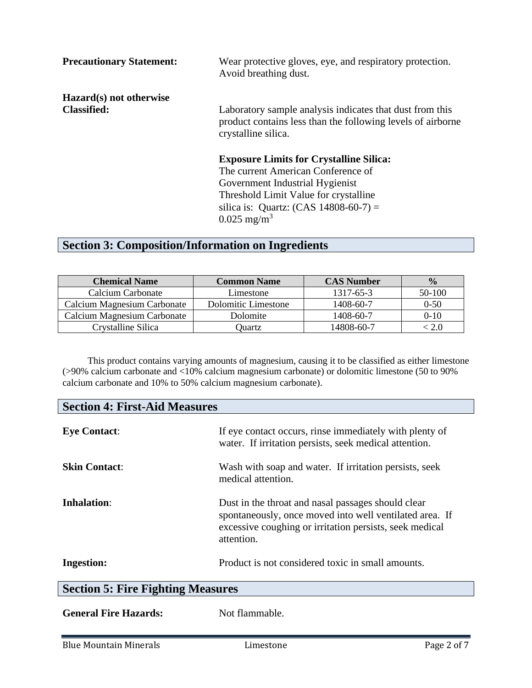| <b>Precautionary Statement:</b> | Wear protective gloves, eye, and respiratory protection.<br>Avoid breathing dust.                                                              |
|---------------------------------|------------------------------------------------------------------------------------------------------------------------------------------------|
| Hazard(s) not otherwise         |                                                                                                                                                |
| <b>Classified:</b>              | Laboratory sample analysis indicates that dust from this<br>product contains less than the following levels of airborne<br>crystalline silica. |
|                                 | <b>Exposure Limits for Crystalline Silica:</b>                                                                                                 |
|                                 | The current American Conference of                                                                                                             |
|                                 | Government Industrial Hygienist                                                                                                                |
|                                 | Threshold Limit Value for crystalline                                                                                                          |
|                                 | silica is: Quartz: $(CAS 14808-60-7) =$                                                                                                        |
|                                 | $0.025$ mg/m <sup>3</sup>                                                                                                                      |

# **Section 3: Composition/Information on Ingredients**

| <b>Chemical Name</b>        | <b>Common Name</b>  | <b>CAS Number</b> | $\frac{0}{0}$ |
|-----------------------------|---------------------|-------------------|---------------|
| Calcium Carbonate           | Limestone           | 1317-65-3         | $50-100$      |
| Calcium Magnesium Carbonate | Dolomitic Limestone | 1408-60-7         | $0 - 50$      |
| Calcium Magnesium Carbonate | Dolomite            | 1408-60-7         | $0-10$        |
| Crystalline Silica          | Ouartz              | 14808-60-7        |               |

This product contains varying amounts of magnesium, causing it to be classified as either limestone (>90% calcium carbonate and <10% calcium magnesium carbonate) or dolomitic limestone (50 to 90% calcium carbonate and 10% to 50% calcium magnesium carbonate).

| <b>Section 4: First-Aid Measures</b>     |                                                                                                                                                                                        |  |
|------------------------------------------|----------------------------------------------------------------------------------------------------------------------------------------------------------------------------------------|--|
| <b>Eye Contact:</b>                      | If eye contact occurs, rinse immediately with plenty of<br>water. If irritation persists, seek medical attention.                                                                      |  |
| <b>Skin Contact:</b>                     | Wash with soap and water. If irritation persists, seek<br>medical attention.                                                                                                           |  |
| Inhalation:                              | Dust in the throat and nasal passages should clear<br>spontaneously, once moved into well ventilated area. If<br>excessive coughing or irritation persists, seek medical<br>attention. |  |
| <b>Ingestion:</b>                        | Product is not considered toxic in small amounts.                                                                                                                                      |  |
| <b>Section 5: Fire Fighting Measures</b> |                                                                                                                                                                                        |  |
|                                          |                                                                                                                                                                                        |  |

General Fire Hazards: Not flammable.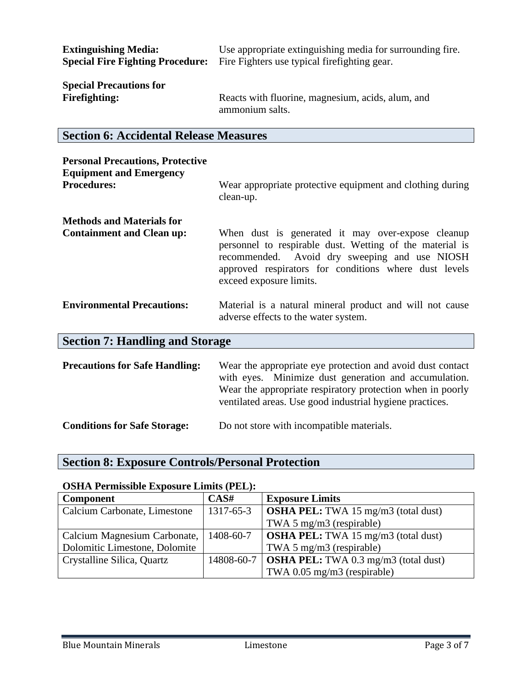| <b>Extinguishing Media:</b>             | Use appropriate extinguishing media for surrounding fire. |
|-----------------------------------------|-----------------------------------------------------------|
| <b>Special Fire Fighting Procedure:</b> | Fire Fighters use typical fire fighting gear.             |
| <b>Special Precautions for</b>          | Reacts with fluorine, magnesium, acids, alum, and         |
| <b>Firefighting:</b>                    | ammonium salts.                                           |

# **Section 6: Accidental Release Measures**

| <b>Personal Precautions, Protective</b><br><b>Equipment and Emergency</b> |                                                                                                                                                                                                                                                    |  |
|---------------------------------------------------------------------------|----------------------------------------------------------------------------------------------------------------------------------------------------------------------------------------------------------------------------------------------------|--|
| <b>Procedures:</b>                                                        | Wear appropriate protective equipment and clothing during<br>clean-up.                                                                                                                                                                             |  |
| <b>Methods and Materials for</b>                                          |                                                                                                                                                                                                                                                    |  |
| <b>Containment and Clean up:</b>                                          | When dust is generated it may over-expose cleanup<br>personnel to respirable dust. Wetting of the material is<br>recommended. Avoid dry sweeping and use NIOSH<br>approved respirators for conditions where dust levels<br>exceed exposure limits. |  |
| <b>Environmental Precautions:</b>                                         | Material is a natural mineral product and will not cause<br>adverse effects to the water system.                                                                                                                                                   |  |
| <b>Section 7: Handling and Storage</b>                                    |                                                                                                                                                                                                                                                    |  |
| <b>Precautions for Safe Handling:</b>                                     | Wear the appropriate eye protection and avoid dust contact<br>with eyes. Minimize dust generation and accumulation.<br>Wear the appropriate respiratory protection when in poorly<br>ventilated areas. Use good industrial hygiene practices.      |  |
| <b>Conditions for Safe Storage:</b>                                       | Do not store with incompatible materials.                                                                                                                                                                                                          |  |

### **Section 8: Exposure Controls/Personal Protection**

#### **OSHA Permissible Exposure Limits (PEL):**

| <b>Component</b>              | CAS#      | <b>Exposure Limits</b>                                   |
|-------------------------------|-----------|----------------------------------------------------------|
| Calcium Carbonate, Limestone  | 1317-65-3 | <b>OSHA PEL:</b> TWA 15 mg/m3 (total dust)               |
|                               |           | TWA 5 mg/m3 (respirable)                                 |
| Calcium Magnesium Carbonate,  | 1408-60-7 | <b>OSHA PEL:</b> TWA 15 mg/m3 (total dust)               |
| Dolomitic Limestone, Dolomite |           | TWA 5 mg/m3 (respirable)                                 |
| Crystalline Silica, Quartz    |           | 14808-60-7   <b>OSHA PEL:</b> TWA 0.3 mg/m3 (total dust) |
|                               |           | TWA 0.05 mg/m3 (respirable)                              |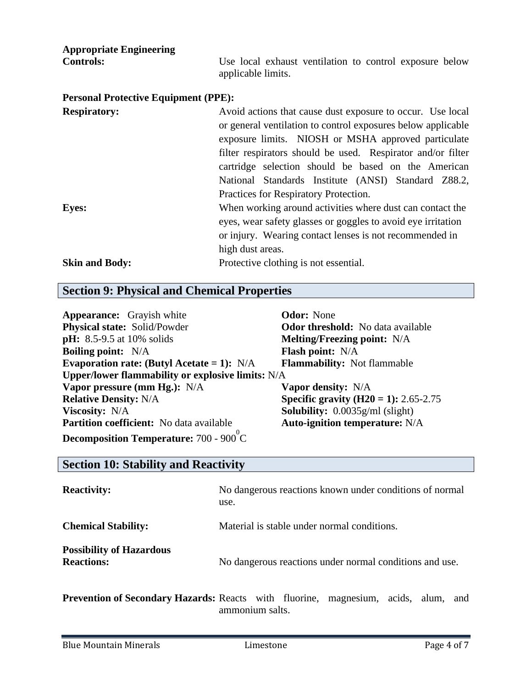| <b>Appropriate Engineering</b><br><b>Controls:</b> | Use local exhaust ventilation to control exposure below<br>applicable limits.                                                                                                                                                                                                                                                                                                                           |
|----------------------------------------------------|---------------------------------------------------------------------------------------------------------------------------------------------------------------------------------------------------------------------------------------------------------------------------------------------------------------------------------------------------------------------------------------------------------|
| <b>Personal Protective Equipment (PPE):</b>        |                                                                                                                                                                                                                                                                                                                                                                                                         |
| <b>Respiratory:</b>                                | Avoid actions that cause dust exposure to occur. Use local<br>or general ventilation to control exposures below applicable<br>exposure limits. NIOSH or MSHA approved particulate<br>filter respirators should be used. Respirator and/or filter<br>cartridge selection should be based on the American<br>National Standards Institute (ANSI) Standard Z88.2,<br>Practices for Respiratory Protection. |
| <b>Eyes:</b>                                       | When working around activities where dust can contact the<br>eyes, wear safety glasses or goggles to avoid eye irritation<br>or injury. Wearing contact lenses is not recommended in<br>high dust areas.                                                                                                                                                                                                |
| <b>Skin and Body:</b>                              | Protective clothing is not essential.                                                                                                                                                                                                                                                                                                                                                                   |

### **Section 9: Physical and Chemical Properties**

| <b>Appearance:</b> Grayish white                  | <b>Odor:</b> None                            |
|---------------------------------------------------|----------------------------------------------|
| <b>Physical state:</b> Solid/Powder               | <b>Odor threshold:</b> No data available     |
| <b>pH:</b> 8.5-9.5 at 10% solids                  | <b>Melting/Freezing point:</b> N/A           |
| <b>Boiling point:</b> N/A                         | <b>Flash point:</b> N/A                      |
| Evaporation rate: (Butyl Acetate = 1): $N/A$      | <b>Flammability:</b> Not flammable           |
| Upper/lower flammability or explosive limits: N/A |                                              |
| Vapor pressure (mm Hg.): N/A                      | <b>Vapor density:</b> N/A                    |
| <b>Relative Density: N/A</b>                      | <b>Specific gravity (H20 = 1):</b> 2.65-2.75 |
| <b>Viscosity:</b> N/A                             | <b>Solubility:</b> $0.0035g/ml$ (slight)     |
| Partition coefficient: No data available          | <b>Auto-ignition temperature: N/A</b>        |
| <b>Decomposition Temperature:</b> 700 - 900 °C    |                                              |

### **Section 10: Stability and Reactivity**

| <b>Reactivity:</b>                                   | No dangerous reactions known under conditions of normal<br>use.                              |
|------------------------------------------------------|----------------------------------------------------------------------------------------------|
| <b>Chemical Stability:</b>                           | Material is stable under normal conditions.                                                  |
| <b>Possibility of Hazardous</b><br><b>Reactions:</b> | No dangerous reactions under normal conditions and use.                                      |
|                                                      | <b>Prevention of Secondary Hazards:</b> Reacts with fluorine, magnesium, acids, alum,<br>and |

ammonium salts.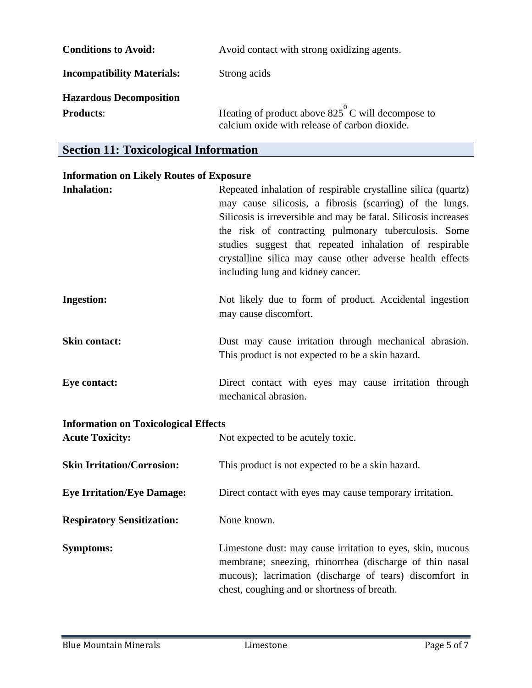| <b>Conditions to Avoid:</b>       | Avoid contact with strong oxidizing agents.                                                                 |
|-----------------------------------|-------------------------------------------------------------------------------------------------------------|
| <b>Incompatibility Materials:</b> | Strong acids                                                                                                |
| <b>Hazardous Decomposition</b>    |                                                                                                             |
| <b>Products:</b>                  | Heating of product above $825^{\circ}$ C will decompose to<br>calcium oxide with release of carbon dioxide. |

### **Section 11: Toxicological Information**

#### **Information on Likely Routes of Exposure**

| <b>Inhalation:</b>                          | Repeated inhalation of respirable crystalline silica (quartz)<br>may cause silicosis, a fibrosis (scarring) of the lungs.<br>Silicosis is irreversible and may be fatal. Silicosis increases<br>the risk of contracting pulmonary tuberculosis. Some<br>studies suggest that repeated inhalation of respirable<br>crystalline silica may cause other adverse health effects<br>including lung and kidney cancer. |
|---------------------------------------------|------------------------------------------------------------------------------------------------------------------------------------------------------------------------------------------------------------------------------------------------------------------------------------------------------------------------------------------------------------------------------------------------------------------|
| <b>Ingestion:</b>                           | Not likely due to form of product. Accidental ingestion<br>may cause discomfort.                                                                                                                                                                                                                                                                                                                                 |
| <b>Skin contact:</b>                        | Dust may cause irritation through mechanical abrasion.<br>This product is not expected to be a skin hazard.                                                                                                                                                                                                                                                                                                      |
| <b>Eye contact:</b>                         | Direct contact with eyes may cause irritation through<br>mechanical abrasion.                                                                                                                                                                                                                                                                                                                                    |
| <b>Information on Toxicological Effects</b> |                                                                                                                                                                                                                                                                                                                                                                                                                  |
| <b>Acute Toxicity:</b>                      | Not expected to be acutely toxic.                                                                                                                                                                                                                                                                                                                                                                                |
| <b>Skin Irritation/Corrosion:</b>           | This product is not expected to be a skin hazard.                                                                                                                                                                                                                                                                                                                                                                |
| <b>Eye Irritation/Eye Damage:</b>           | Direct contact with eyes may cause temporary irritation.                                                                                                                                                                                                                                                                                                                                                         |
| <b>Respiratory Sensitization:</b>           | None known.                                                                                                                                                                                                                                                                                                                                                                                                      |
| <b>Symptoms:</b>                            | Limestone dust: may cause irritation to eyes, skin, mucous<br>membrane; sneezing, rhinorrhea (discharge of thin nasal<br>mucous); lacrimation (discharge of tears) discomfort in<br>chest, coughing and or shortness of breath.                                                                                                                                                                                  |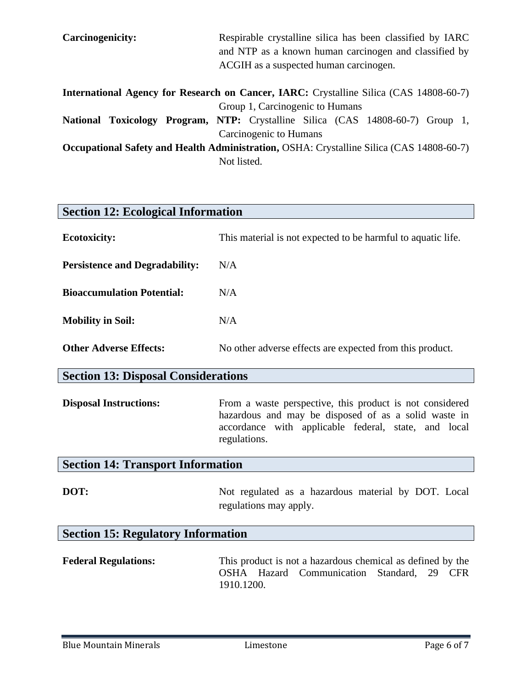| Carcinogenicity:                                                                                | Respirable crystalline silica has been classified by IARC                      |  |
|-------------------------------------------------------------------------------------------------|--------------------------------------------------------------------------------|--|
|                                                                                                 | and NTP as a known human carcinogen and classified by                          |  |
|                                                                                                 | ACGIH as a suspected human carcinogen.                                         |  |
| <b>International Agency for Research on Cancer, IARC:</b> Crystalline Silica (CAS 14808-60-7)   |                                                                                |  |
|                                                                                                 | Group 1, Carcinogenic to Humans                                                |  |
|                                                                                                 | National Toxicology Program, NTP: Crystalline Silica (CAS 14808-60-7) Group 1, |  |
|                                                                                                 | Carcinogenic to Humans                                                         |  |
| <b>Occupational Safety and Health Administration, OSHA: Crystalline Silica (CAS 14808-60-7)</b> |                                                                                |  |
|                                                                                                 | Not listed.                                                                    |  |

| <b>Section 12: Ecological Information</b>  |                                                                                                                                                                                          |  |
|--------------------------------------------|------------------------------------------------------------------------------------------------------------------------------------------------------------------------------------------|--|
| <b>Ecotoxicity:</b>                        | This material is not expected to be harmful to aquatic life.                                                                                                                             |  |
| <b>Persistence and Degradability:</b>      | N/A                                                                                                                                                                                      |  |
| <b>Bioaccumulation Potential:</b>          | N/A                                                                                                                                                                                      |  |
| <b>Mobility in Soil:</b>                   | N/A                                                                                                                                                                                      |  |
| <b>Other Adverse Effects:</b>              | No other adverse effects are expected from this product.                                                                                                                                 |  |
| <b>Section 13: Disposal Considerations</b> |                                                                                                                                                                                          |  |
| <b>Disposal Instructions:</b>              | From a waste perspective, this product is not considered<br>hazardous and may be disposed of as a solid waste in<br>accordance with applicable federal, state, and local<br>regulations. |  |
| <b>Section 14: Transport Information</b>   |                                                                                                                                                                                          |  |
| DOT:                                       | Not regulated as a hazardous material by DOT. Local<br>regulations may apply.                                                                                                            |  |
| <b>Section 15: Regulatory Information</b>  |                                                                                                                                                                                          |  |
| <b>Federal Regulations:</b>                | This product is not a hazardous chemical as defined by the<br>OSHA Hazard<br>Communication<br>Standard,<br>29 CFR<br>1910.1200.                                                          |  |